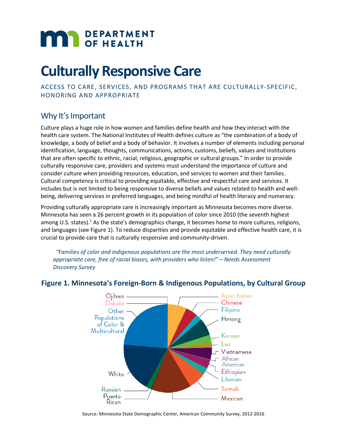# **MAN** DEPARTMENT

# **Culturally Responsive Care**

ACCESS TO CARE, SERVICES, AND PROGRAMS THAT ARE CULTURALLY-SPECIFIC, HONORING AND APPROPRIATE

# Why It's Important

Culture plays a huge role in how women and families define health and how they interact with the health care system. The National Institutes of Health defines culture as "the combination of a body of knowledge, a body of belief and a body of behavior. It involves a number of elements including personal identification, language, thoughts, communications, actions, customs, beliefs, values and institutions that are often specific to ethnic, racial, religious, geographic or cultural groups." In order to provide culturally responsive care, providers and systems must understand the importance of culture and consider culture when providing resources, education, and services to women and their families. Cultural competency is critical to providing equitable, effective and respectful care and services. It includes but is not limited to being responsive to diverse beliefs and values related to health and wellbeing, delivering services in preferred languages, and being mindful of health literacy and numeracy.

Providing culturally appropriate care is increasingly important as Minnesota becomes more diverse. [Minnesota has seen a 26 percent growth in its population of color since 2010 \(](https://www.mncompass.org/demographics/race#1-5106-g)the seventh highest among U.S. states).<sup>1</sup> As the state's demographics change, it becomes home to more cultures, religions, and languages (see Figure 1). To reduce disparities and provide equitable and effective health care, it is crucial to provide care that is culturally responsive and community-driven.

 *"Families of color and indigenous populations are the most underserved. They need culturally appropriate care, free of racial biases, with providers who listen!" – Needs Assessment Discovery Survey*



### **Figure 1. Minnesota's Foreign-Born & Indigenous Populations, by Cultural Group**

Source: Minnesota State Demographic Center, American Community Survey, 2012-2016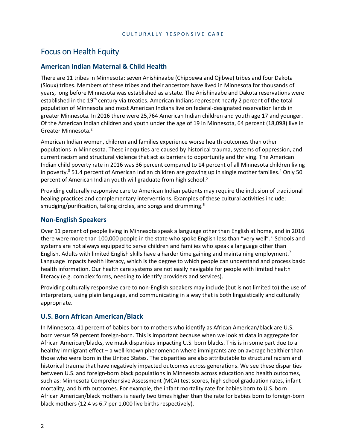# Focus on Health Equity

#### **American Indian Maternal & Child Health**

There are 11 tribes in Minnesota: seven Anishinaabe (Chippewa and Ojibwe) tribes and four Dakota (Sioux) tribes. Members of these tribes and their ancestors have lived in Minnesota for thousands of years, long before Minnesota was established as a state. The Anishinaabe and Dakota reservations were established in the 19<sup>th</sup> century via treaties. American Indians represent nearly 2 percent of the total population of Minnesota and most American Indians live on federal-designated reservation lands in greater Minnesota. In 2016 there were 25,764 American Indian children and youth age 17 and younger. Of the American Indian children and youth under the age of 19 in Minnesota, 64 percent (18,098) live in Greater Minnesota.2

American Indian women, children and families experience worse health outcomes than other populations in Minnesota. These inequities are caused by historical trauma, systems of oppression, and current racism and structural violence that act as barriers to opportunity and thriving. The American Indian child poverty rate in 2016 was 36 percent compared to 14 percent of all Minnesota children living in poverty.<sup>3</sup> 51.4 percent of American Indian children are growing up in single mother families.<sup>4</sup> Only 50 percent of American Indian youth will graduate from high school.5

Providing culturally responsive care to American Indian patients may require the inclusion of traditional healing practices and complementary interventions. Examples of these cultural activities include: smudging/purification, talking circles, and songs and drumming.<sup>6</sup>

#### **Non-English Speakers**

Over 11 percent of people living in Minnesota speak a language other than English at home, and in 2016 there were more than 100,000 people in the state who spoke English less than "very well". <sup>6</sup> Schools and systems are not always equipped to serve children and families who speak a language other than English. Adults with limited English skills have a harder time gaining and maintaining employment.<sup>7</sup> Language impacts health literacy, which is the degree to which people can understand and process basic health information. Our health care systems are not easily navigable for people with limited health literacy (e.g. complex forms, needing to identify providers and services).

Providing culturally responsive care to non-English speakers may include (but is not limited to) the use of interpreters, using plain language, and communicating in a way that is both linguistically and culturally appropriate.

#### **U.S. Born African American/Black**

In Minnesota, 41 percent of babies born to mothers who identify as African American/black are U.S. born versus 59 percent foreign-born. This is important because when we look at data in aggregate for African American/blacks, we mask disparities impacting U.S. born blacks. This is in some part due to a healthy immigrant effect – a well-known phenomenon where immigrants are on average healthier than those who were born in the United States. The disparities are also attributable to structural racism and historical trauma that have negatively impacted outcomes across generations. We see these disparities between U.S. and foreign-born black populations in Minnesota across education and health outcomes, such as: Minnesota Comprehensive Assessment (MCA) test scores, high school graduation rates, infant mortality, and birth outcomes. For example, the infant mortality rate for babies born to U.S. born African American/black mothers is nearly two times higher than the rate for babies born to foreign-born black mothers (12.4 vs 6.7 per 1,000 live births respectively).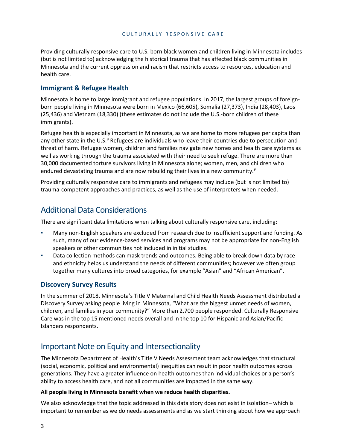Providing culturally responsive care to U.S. born black women and children living in Minnesota includes (but is not limited to) acknowledging the historical trauma that has affected black communities in Minnesota and the current oppression and racism that restricts access to resources, education and health care.

#### **Immigrant & Refugee Health**

Minnesota is home to large immigrant and refugee populations. In 2017, the largest groups of foreignborn people living in Minnesota were born in Mexico (66,605), Somalia (27,373), India (28,403), Laos (25,436) and Vietnam (18,330) (these estimates do not include the U.S.-born children of these immigrants).

Refugee health is especially important in Minnesota, as we are home to more refugees per capita than any other state in the U.S.<sup>8</sup> Refugees are individuals who leave their countries due to persecution and threat of harm. Refugee women, children and families navigate new homes and health care systems as well as working through the trauma associated with their need to seek refuge. There are more than 30,000 documented torture survivors living in Minnesota alone; women, men, and children who endured devastating trauma and are now rebuilding their lives in a new community.<sup>9</sup>

Providing culturally responsive care to immigrants and refugees may include (but is not limited to) trauma-competent approaches and practices, as well as the use of interpreters when needed.

# Additional Data Considerations

There are significant data limitations when talking about culturally responsive care, including:

- Many non-English speakers are excluded from research due to insufficient support and funding. As such, many of our evidence-based services and programs may not be appropriate for non-English speakers or other communities not included in initial studies.
- Data collection methods can mask trends and outcomes. Being able to break down data by race and ethnicity helps us understand the needs of different communities; however we often group together many cultures into broad categories, for example "Asian" and "African American".

#### **Discovery Survey Results**

In the summer of 2018, Minnesota's Title V Maternal and Child Health Needs Assessment distributed a Discovery Survey asking people living in Minnesota, "What are the biggest unmet needs of women, children, and families in your community?" More than 2,700 people responded. Culturally Responsive Care was in the top 15 mentioned needs overall and in the top 10 for Hispanic and Asian/Pacific Islanders respondents.

# Important Note on Equity and Intersectionality

The Minnesota Department of Health's Title V Needs Assessment team acknowledges that structural (social, economic, political and environmental) inequities can result in poor health outcomes across generations. They have a greater influence on health outcomes than individual choices or a person's ability to access health care, and not all communities are impacted in the same way.

#### **All people living in Minnesota benefit when we reduce health disparities.**

We also acknowledge that the topic addressed in this data story does not exist in isolation– which is important to remember as we do needs assessments and as we start thinking about how we approach